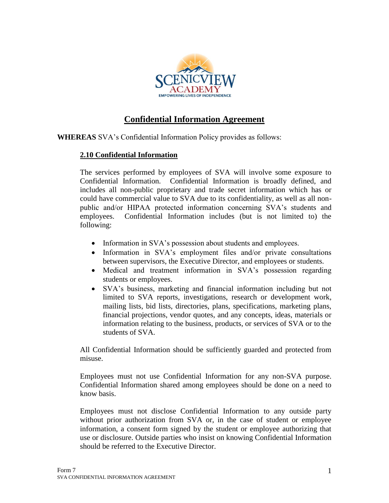

## **Confidential Information Agreement**

**WHEREAS** SVA's Confidential Information Policy provides as follows:

## **2.10 Confidential Information**

The services performed by employees of SVA will involve some exposure to Confidential Information. Confidential Information is broadly defined, and includes all non-public proprietary and trade secret information which has or could have commercial value to SVA due to its confidentiality, as well as all nonpublic and/or HIPAA protected information concerning SVA's students and employees. Confidential Information includes (but is not limited to) the following:

- Information in SVA's possession about students and employees.
- Information in SVA's employment files and/or private consultations between supervisors, the Executive Director, and employees or students.
- Medical and treatment information in SVA's possession regarding students or employees.
- SVA's business, marketing and financial information including but not limited to SVA reports, investigations, research or development work, mailing lists, bid lists, directories, plans, specifications, marketing plans, financial projections, vendor quotes, and any concepts, ideas, materials or information relating to the business, products, or services of SVA or to the students of SVA.

All Confidential Information should be sufficiently guarded and protected from misuse.

Employees must not use Confidential Information for any non-SVA purpose. Confidential Information shared among employees should be done on a need to know basis.

Employees must not disclose Confidential Information to any outside party without prior authorization from SVA or, in the case of student or employee information, a consent form signed by the student or employee authorizing that use or disclosure. Outside parties who insist on knowing Confidential Information should be referred to the Executive Director.